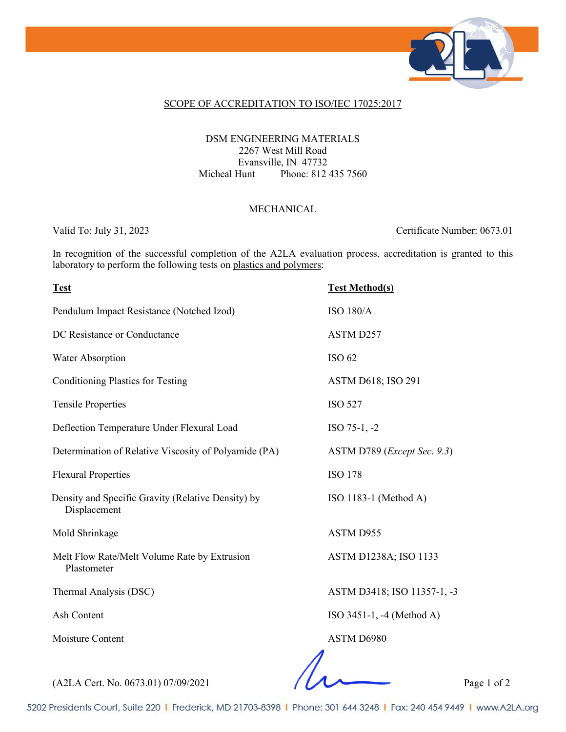

#### SCOPE OF ACCREDITATION TO ISO/IEC 17025:2017

### DSM ENGINEERING MATERIALS 2267 West Mill Road Evansville, IN 47732 Micheal Hunt Phone: 812 435 7560

### MECHANICAL

Valid To: July 31, 2023 Certificate Number: 0673.01

In recognition of the successful completion of the A2LA evaluation process, accreditation is granted to this laboratory to perform the following tests on plastics and polymers:

| <b>Test</b>                                                        | <b>Test Method(s)</b>                |
|--------------------------------------------------------------------|--------------------------------------|
| Pendulum Impact Resistance (Notched Izod)                          | <b>ISO 180/A</b>                     |
| DC Resistance or Conductance                                       | ASTM D257                            |
| Water Absorption                                                   | <b>ISO 62</b>                        |
| <b>Conditioning Plastics for Testing</b>                           | ASTM D618; ISO 291                   |
| <b>Tensile Properties</b>                                          | <b>ISO 527</b>                       |
| Deflection Temperature Under Flexural Load                         | $ISO 75-1, -2$                       |
| Determination of Relative Viscosity of Polyamide (PA)              | ASTM D789 ( <i>Except Sec. 9.3</i> ) |
| <b>Flexural Properties</b>                                         | <b>ISO 178</b>                       |
| Density and Specific Gravity (Relative Density) by<br>Displacement | ISO 1183-1 (Method A)                |
| Mold Shrinkage                                                     | ASTM D955                            |
| Melt Flow Rate/Melt Volume Rate by Extrusion<br>Plastometer        | ASTM D1238A; ISO 1133                |
| Thermal Analysis (DSC)                                             | ASTM D3418; ISO 11357-1, -3          |
| Ash Content                                                        | ISO 3451-1, -4 (Method A)            |
| Moisture Content                                                   | ASTM D6980                           |
|                                                                    |                                      |

(A2LA Cert. No. 0673.01) 07/09/2021 Page 1 of 2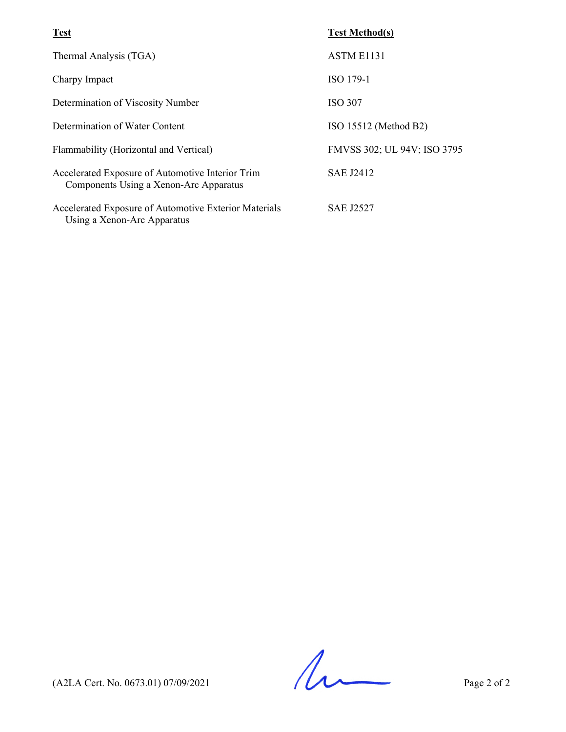| <b>Test</b>                                                                                | <b>Test Method(s)</b>       |
|--------------------------------------------------------------------------------------------|-----------------------------|
| Thermal Analysis (TGA)                                                                     | <b>ASTM E1131</b>           |
| Charpy Impact                                                                              | ISO 179-1                   |
| Determination of Viscosity Number                                                          | <b>ISO 307</b>              |
| Determination of Water Content                                                             | ISO 15512 (Method B2)       |
| Flammability (Horizontal and Vertical)                                                     | FMVSS 302; UL 94V; ISO 3795 |
| Accelerated Exposure of Automotive Interior Trim<br>Components Using a Xenon-Arc Apparatus | <b>SAE J2412</b>            |
| Accelerated Exposure of Automotive Exterior Materials<br>Using a Xenon-Arc Apparatus       | <b>SAE J2527</b>            |

 $(A2LA$  Cert. No. 0673.01) 07/09/2021 Page 2 of 2